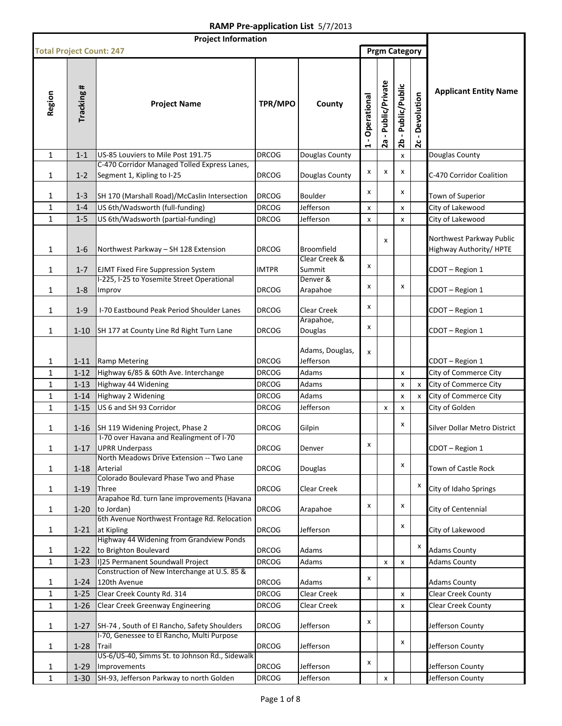| <b>Project Information</b>      |                      |                                                                                   |                              |                                       |                                 |                        |                       |                                              |                                                                       |
|---------------------------------|----------------------|-----------------------------------------------------------------------------------|------------------------------|---------------------------------------|---------------------------------|------------------------|-----------------------|----------------------------------------------|-----------------------------------------------------------------------|
| <b>Total Project Count: 247</b> |                      |                                                                                   |                              |                                       |                                 |                        | <b>Prgm Category</b>  |                                              |                                                                       |
| Region                          | Tracking #           | <b>Project Name</b>                                                               | TPR/MPO                      | County                                | - Operational<br>$\blacksquare$ | - Public/Private<br>2a | - Public/Public<br>26 | Devolution<br>$\blacksquare$<br>$\mathbf{z}$ | <b>Applicant Entity Name</b>                                          |
| $\mathbf{1}$                    | $1 - 1$              | US-85 Louviers to Mile Post 191.75                                                | <b>DRCOG</b>                 | Douglas County                        |                                 |                        | X                     |                                              | Douglas County                                                        |
| 1                               | $1 - 2$              | C-470 Corridor Managed Tolled Express Lanes,<br>Segment 1, Kipling to I-25        | <b>DRCOG</b>                 | Douglas County                        | x                               | x                      | x                     |                                              | C-470 Corridor Coalition                                              |
| 1                               | $1 - 3$              | SH 170 (Marshall Road)/McCaslin Intersection                                      | <b>DRCOG</b>                 | Boulder                               | x                               |                        | x                     |                                              | Town of Superior                                                      |
| 1                               | $1 - 4$              | US 6th/Wadsworth (full-funding)                                                   | <b>DRCOG</b>                 | Jefferson                             | x                               |                        | X                     |                                              | City of Lakewood                                                      |
| $\mathbf{1}$                    | $1 - 5$              | US 6th/Wadsworth (partial-funding)                                                | <b>DRCOG</b>                 | Jefferson                             | X                               |                        | X                     |                                              | City of Lakewood                                                      |
| 1<br>$\mathbf{1}$               | $1 - 6$<br>$1 - 7$   | Northwest Parkway - SH 128 Extension<br><b>EJMT Fixed Fire Suppression System</b> | <b>DRCOG</b><br><b>IMTPR</b> | Broomfield<br>Clear Creek &<br>Summit | x                               | x                      |                       |                                              | Northwest Parkway Public<br>Highway Authority/HPTE<br>CDOT - Region 1 |
|                                 |                      | I-225, I-25 to Yosemite Street Operational                                        |                              | Denver &                              |                                 |                        |                       |                                              |                                                                       |
| 1                               | $1 - 8$              | Improv                                                                            | <b>DRCOG</b>                 | Arapahoe                              | x                               |                        | x                     |                                              | CDOT - Region 1                                                       |
| 1                               | $1 - 9$              | I-70 Eastbound Peak Period Shoulder Lanes                                         | <b>DRCOG</b>                 | Clear Creek                           | x                               |                        |                       |                                              | CDOT - Region 1                                                       |
| 1                               | $1 - 10$             | SH 177 at County Line Rd Right Turn Lane                                          | <b>DRCOG</b>                 | Arapahoe,<br>Douglas                  | x                               |                        |                       |                                              | CDOT - Region 1                                                       |
| 1                               | $1 - 11$             | Ramp Metering                                                                     | <b>DRCOG</b>                 | Adams, Douglas,<br>Jefferson          | x                               |                        |                       |                                              | CDOT - Region 1                                                       |
| $\mathbf{1}$                    | $1 - 12$             | Highway 6/85 & 60th Ave. Interchange                                              | <b>DRCOG</b>                 | Adams                                 |                                 |                        | X                     |                                              | City of Commerce City                                                 |
| $\mathbf{1}$                    | $1 - 13$             | Highway 44 Widening                                                               | <b>DRCOG</b>                 | Adams                                 |                                 |                        | X                     | x                                            | City of Commerce City                                                 |
| $\mathbf{1}$                    | $1 - 14$             | Highway 2 Widening                                                                | <b>DRCOG</b>                 | Adams                                 |                                 |                        | X                     | x                                            | City of Commerce City                                                 |
| $\mathbf{1}$                    | $1 - 15$             | US 6 and SH 93 Corridor                                                           | <b>DRCOG</b>                 | Jefferson                             |                                 | x                      | X                     |                                              | City of Golden                                                        |
| 1                               | $1 - 16$             | SH 119 Widening Project, Phase 2<br>I-70 over Havana and Realingment of I-70      | <b>DRCOG</b>                 | Gilpin                                |                                 |                        | x                     |                                              | Silver Dollar Metro District                                          |
| 1                               | $1 - 17$             | <b>UPRR Underpass</b><br>North Meadows Drive Extension -- Two Lane                | <b>DRCOG</b>                 | Denver                                | x                               |                        |                       |                                              | CDOT-Region 1                                                         |
| 1                               | $1 - 18$             | Arterial<br>Colorado Boulevard Phase Two and Phase                                | <b>DRCOG</b>                 | Douglas                               |                                 |                        | X                     |                                              | Town of Castle Rock                                                   |
| 1                               | $1 - 19$             | <b>Three</b><br>Arapahoe Rd. turn lane improvements (Havana                       | <b>DRCOG</b>                 | Clear Creek                           |                                 |                        |                       | х                                            | City of Idaho Springs                                                 |
| 1                               | $1-20$               | to Jordan)<br>6th Avenue Northwest Frontage Rd. Relocation                        | <b>DRCOG</b>                 | Arapahoe                              | x                               |                        | X                     |                                              | City of Centennial                                                    |
| 1                               | $1 - 21$             | at Kipling                                                                        | <b>DRCOG</b>                 | Jefferson                             |                                 |                        | X                     |                                              | City of Lakewood                                                      |
| 1                               | $1 - 22$             | Highway 44 Widening from Grandview Ponds<br>to Brighton Boulevard                 | <b>DRCOG</b>                 | Adams                                 |                                 |                        |                       | x                                            | <b>Adams County</b>                                                   |
| $\mathbf{1}$                    | $1 - 23$             | I]25 Permanent Soundwall Project                                                  | <b>DRCOG</b>                 | Adams                                 |                                 | X                      | $\pmb{\mathsf{x}}$    |                                              | <b>Adams County</b>                                                   |
| 1                               | $1 - 24$             | Construction of New Interchange at U.S. 85 &<br>120th Avenue                      | <b>DRCOG</b>                 | Adams                                 | x                               |                        |                       |                                              | <b>Adams County</b>                                                   |
| 1                               | $1 - 25$             | Clear Creek County Rd. 314                                                        | <b>DRCOG</b>                 | Clear Creek                           |                                 |                        | X                     |                                              | Clear Creek County                                                    |
| $\mathbf{1}$                    | $1 - 26$             | <b>Clear Creek Greenway Engineering</b>                                           | <b>DRCOG</b>                 | Clear Creek                           |                                 |                        | X                     |                                              | <b>Clear Creek County</b>                                             |
| $\mathbf{1}$                    | $1 - 27$             | SH-74, South of El Rancho, Safety Shoulders                                       | <b>DRCOG</b>                 | Jefferson                             | x                               |                        |                       |                                              | Jefferson County                                                      |
| 1                               | $1 - 28$             | I-70, Genessee to El Rancho, Multi Purpose<br>Trail                               | <b>DRCOG</b>                 | Jefferson                             |                                 |                        | x                     |                                              | Jefferson County                                                      |
|                                 |                      | US-6/US-40, Simms St. to Johnson Rd., Sidewalk                                    |                              |                                       | x                               |                        |                       |                                              |                                                                       |
| 1<br>$\mathbf{1}$               | $1 - 29$<br>$1 - 30$ | Improvements<br>SH-93, Jefferson Parkway to north Golden                          | <b>DRCOG</b><br><b>DRCOG</b> | Jefferson<br>Jefferson                |                                 | x                      |                       |                                              | Jefferson County<br>Jefferson County                                  |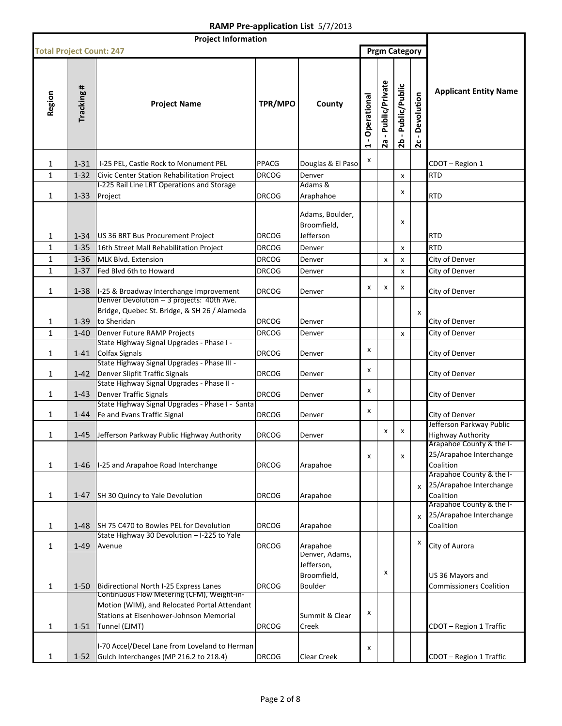| <b>Project Information</b>      |            |                                                                                                                                                        |              |                                                               |                               |                               |                       |                                              |                                                                  |
|---------------------------------|------------|--------------------------------------------------------------------------------------------------------------------------------------------------------|--------------|---------------------------------------------------------------|-------------------------------|-------------------------------|-----------------------|----------------------------------------------|------------------------------------------------------------------|
| <b>Total Project Count: 247</b> |            |                                                                                                                                                        |              |                                                               |                               |                               | <b>Prgm Category</b>  |                                              |                                                                  |
| Region                          | Tracking # | <b>Project Name</b>                                                                                                                                    | TPR/MPO      | County                                                        | Operational<br>$\blacksquare$ | - Public/Private<br><b>2a</b> | - Public/Public<br>2b | Devolution<br>$\blacksquare$<br>$\mathbf{z}$ | <b>Applicant Entity Name</b>                                     |
| 1                               | $1 - 31$   | I-25 PEL, Castle Rock to Monument PEL                                                                                                                  | <b>PPACG</b> | Douglas & El Paso                                             | X                             |                               |                       |                                              | CDOT-Region 1                                                    |
| $\mathbf{1}$                    | $1 - 32$   | Civic Center Station Rehabilitation Project                                                                                                            | <b>DRCOG</b> | Denver                                                        |                               |                               | X                     |                                              | <b>RTD</b>                                                       |
|                                 |            | I-225 Rail Line LRT Operations and Storage                                                                                                             |              | Adams &                                                       |                               |                               |                       |                                              |                                                                  |
| 1                               | $1 - 33$   | Project                                                                                                                                                | <b>DRCOG</b> | Araphahoe                                                     |                               |                               | x                     |                                              | <b>RTD</b>                                                       |
| 1                               | $1 - 34$   | US 36 BRT Bus Procurement Project                                                                                                                      | <b>DRCOG</b> | Adams, Boulder,<br>Broomfield,<br>Jefferson                   |                               |                               | х                     |                                              | RTD                                                              |
| $\mathbf{1}$                    | $1 - 35$   | 16th Street Mall Rehabilitation Project                                                                                                                | <b>DRCOG</b> | Denver                                                        |                               |                               | X                     |                                              | <b>RTD</b>                                                       |
| $\mathbf{1}$                    | $1 - 36$   | MLK Blvd. Extension                                                                                                                                    | <b>DRCOG</b> | Denver                                                        |                               | x                             | X                     |                                              | City of Denver                                                   |
| $\mathbf{1}$                    | $1 - 37$   | Fed Blvd 6th to Howard                                                                                                                                 | <b>DRCOG</b> | Denver                                                        |                               |                               | X                     |                                              | City of Denver                                                   |
| $\mathbf{1}$                    | $1 - 38$   | I-25 & Broadway Interchange Improvement                                                                                                                | <b>DRCOG</b> | Denver                                                        | x                             | x                             | x                     |                                              | City of Denver                                                   |
| 1                               | $1 - 39$   | Denver Devolution -- 3 projects: 40th Ave.<br>Bridge, Quebec St. Bridge, & SH 26 / Alameda<br>to Sheridan                                              | <b>DRCOG</b> | Denver                                                        |                               |                               |                       | $\boldsymbol{\mathsf{x}}$                    | City of Denver                                                   |
| 1                               | $1 - 40$   | Denver Future RAMP Projects                                                                                                                            | <b>DRCOG</b> | Denver                                                        |                               |                               | X                     |                                              | City of Denver                                                   |
| 1                               | $1 - 41$   | State Highway Signal Upgrades - Phase I -<br><b>Colfax Signals</b>                                                                                     | <b>DRCOG</b> | Denver                                                        | x                             |                               |                       |                                              | City of Denver                                                   |
| 1                               | $1 - 42$   | State Highway Signal Upgrades - Phase III -<br>Denver Slipfit Traffic Signals                                                                          | <b>DRCOG</b> | Denver                                                        | x                             |                               |                       |                                              | City of Denver                                                   |
| 1                               | $1 - 43$   | State Highway Signal Upgrades - Phase II -<br><b>Denver Traffic Signals</b>                                                                            | <b>DRCOG</b> | Denver                                                        | x                             |                               |                       |                                              | City of Denver                                                   |
| 1                               | $1 - 44$   | State Highway Signal Upgrades - Phase I - Santa<br>Fe and Evans Traffic Signal                                                                         | <b>DRCOG</b> | Denver                                                        | x                             |                               |                       |                                              | City of Denver                                                   |
| 1                               | 1-45       | Jefferson Parkway Public Highway Authority                                                                                                             | <b>DRCOG</b> | Denver                                                        |                               | х                             | x                     |                                              | Jefferson Parkway Public<br><b>Highway Authority</b>             |
| 1                               | $1 - 46$   | I-25 and Arapahoe Road Interchange                                                                                                                     | <b>DRCOG</b> | Arapahoe                                                      | x                             |                               | x                     |                                              | Arapahoe County & the I-<br>25/Arapahoe Interchange<br>Coalition |
| 1                               | $1 - 47$   | SH 30 Quincy to Yale Devolution                                                                                                                        | <b>DRCOG</b> | Arapahoe                                                      |                               |                               |                       | X                                            | Arapahoe County & the I-<br>25/Arapahoe Interchange<br>Coalition |
| 1                               | $1 - 48$   | SH 75 C470 to Bowles PEL for Devolution                                                                                                                | <b>DRCOG</b> | Arapahoe                                                      |                               |                               |                       | $\mathsf{x}$                                 | Arapahoe County & the I-<br>25/Arapahoe Interchange<br>Coalition |
| 1                               | $1 - 49$   | State Highway 30 Devolution - I-225 to Yale<br>Avenue                                                                                                  | <b>DRCOG</b> | Arapahoe                                                      |                               |                               |                       | X                                            | City of Aurora                                                   |
| 1                               | $1 - 50$   | Bidirectional North I-25 Express Lanes                                                                                                                 | <b>DRCOG</b> | Denver, Adams,<br>Jefferson,<br>Broomfield,<br><b>Boulder</b> |                               | x                             |                       |                                              | US 36 Mayors and<br><b>Commissioners Coalition</b>               |
| 1                               | $1 - 51$   | Continuous Flow Metering (CFM), Weight-in-<br>Motion (WIM), and Relocated Portal Attendant<br>Stations at Eisenhower-Johnson Memorial<br>Tunnel (EJMT) | <b>DRCOG</b> | Summit & Clear<br>Creek                                       | x                             |                               |                       |                                              | CDOT - Region 1 Traffic                                          |
| 1                               | $1 - 52$   | I-70 Accel/Decel Lane from Loveland to Herman<br>Gulch Interchanges (MP 216.2 to 218.4)                                                                | <b>DRCOG</b> | <b>Clear Creek</b>                                            | x                             |                               |                       |                                              | CDOT - Region 1 Traffic                                          |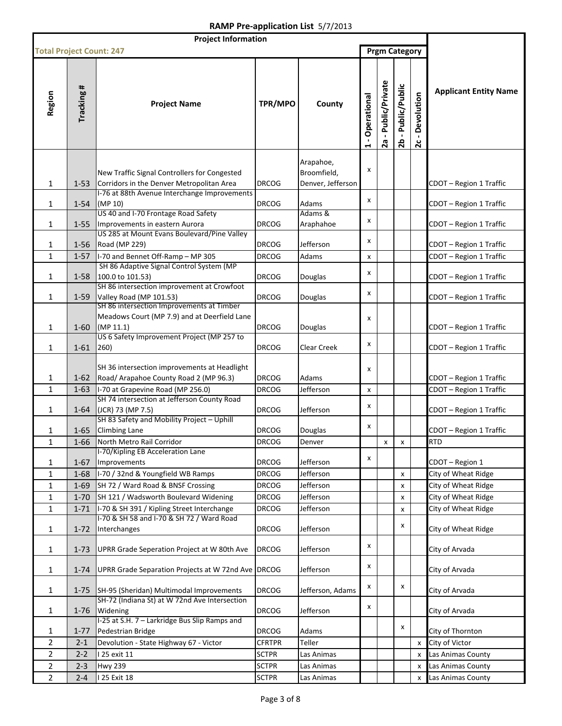| <b>Project Information</b>      |            |                                                                                           |               |                   |                                                 |                               |                       |                                              |                              |
|---------------------------------|------------|-------------------------------------------------------------------------------------------|---------------|-------------------|-------------------------------------------------|-------------------------------|-----------------------|----------------------------------------------|------------------------------|
| <b>Total Project Count: 247</b> |            |                                                                                           |               |                   |                                                 |                               | <b>Prgm Category</b>  |                                              |                              |
| Region                          | Tracking # | <b>Project Name</b>                                                                       | TPR/MPO       | County            | Operational<br>$\blacksquare$<br>$\blacksquare$ | - Public/Private<br><b>2a</b> | - Public/Public<br>2b | Devolution<br>$\blacksquare$<br>$\mathbf{c}$ | <b>Applicant Entity Name</b> |
|                                 |            |                                                                                           |               | Arapahoe,         |                                                 |                               |                       |                                              |                              |
|                                 |            | New Traffic Signal Controllers for Congested                                              |               | Broomfield,       | x                                               |                               |                       |                                              |                              |
| 1                               | $1 - 53$   | Corridors in the Denver Metropolitan Area                                                 | <b>DRCOG</b>  | Denver, Jefferson |                                                 |                               |                       |                                              | CDOT - Region 1 Traffic      |
|                                 |            | I-76 at 88th Avenue Interchange Improvements                                              |               |                   | x                                               |                               |                       |                                              |                              |
| 1                               | $1 - 54$   | (MP 10)                                                                                   | <b>DRCOG</b>  | Adams<br>Adams &  |                                                 |                               |                       |                                              | CDOT - Region 1 Traffic      |
| 1                               | $1 - 55$   | US 40 and I-70 Frontage Road Safety<br>Improvements in eastern Aurora                     | <b>DRCOG</b>  | Araphahoe         | x                                               |                               |                       |                                              | CDOT - Region 1 Traffic      |
|                                 |            | US 285 at Mount Evans Boulevard/Pine Valley                                               |               |                   |                                                 |                               |                       |                                              |                              |
| 1                               | $1 - 56$   | Road (MP 229)                                                                             | DRCOG         | Jefferson         | x                                               |                               |                       |                                              | CDOT - Region 1 Traffic      |
| 1                               | $1 - 57$   | I-70 and Bennet Off-Ramp - MP 305                                                         | <b>DRCOG</b>  | Adams             | X                                               |                               |                       |                                              | CDOT - Region 1 Traffic      |
|                                 |            | SH 86 Adaptive Signal Control System (MP                                                  |               |                   | x                                               |                               |                       |                                              |                              |
| 1                               | $1 - 58$   | 100.0 to 101.53)<br>SH 86 intersection improvement at Crowfoot                            | <b>DRCOG</b>  | Douglas           |                                                 |                               |                       |                                              | CDOT - Region 1 Traffic      |
| 1                               | $1 - 59$   | Valley Road (MP 101.53)                                                                   | <b>DRCOG</b>  | <b>Douglas</b>    | x                                               |                               |                       |                                              | CDOT - Region 1 Traffic      |
|                                 |            | SH 86 intersection Improvements at Timber                                                 |               |                   |                                                 |                               |                       |                                              |                              |
|                                 |            | Meadows Court (MP 7.9) and at Deerfield Lane                                              |               |                   | x                                               |                               |                       |                                              |                              |
| 1                               | $1 - 60$   | (MP 11.1)                                                                                 | <b>DRCOG</b>  | Douglas           |                                                 |                               |                       |                                              | CDOT - Region 1 Traffic      |
|                                 |            | US 6 Safety Improvement Project (MP 257 to                                                |               |                   | X                                               |                               |                       |                                              |                              |
| 1                               | $1 - 61$   | 260)                                                                                      | <b>DRCOG</b>  | Clear Creek       |                                                 |                               |                       |                                              | CDOT - Region 1 Traffic      |
|                                 |            | SH 36 intersection improvements at Headlight                                              |               |                   | x                                               |                               |                       |                                              |                              |
| 1                               | $1 - 62$   | Road/ Arapahoe County Road 2 (MP 96.3)                                                    | <b>DRCOG</b>  | Adams             |                                                 |                               |                       |                                              | CDOT - Region 1 Traffic      |
| $\mathbf{1}$                    | $1 - 63$   | I-70 at Grapevine Road (MP 256.0)                                                         | <b>DRCOG</b>  | Jefferson         | x                                               |                               |                       |                                              | CDOT - Region 1 Traffic      |
|                                 |            | SH 74 intersection at Jefferson County Road                                               |               |                   | X                                               |                               |                       |                                              |                              |
| 1                               | $1 - 64$   | (JCR) 73 (MP 7.5)<br>SH 83 Safety and Mobility Project - Uphill                           | <b>DRCOG</b>  | Jefferson         |                                                 |                               |                       |                                              | CDOT - Region 1 Traffic      |
| 1                               | $1 - 65$   | <b>Climbing Lane</b>                                                                      | DRCOG         | <b>Douglas</b>    | X                                               |                               |                       |                                              | CDOT - Region 1 Traffic      |
| $\mathbf 1$                     |            | 1-66 North Metro Rail Corridor                                                            | <b>DRCOG</b>  | Denver            |                                                 | $\mathsf{x}$                  | $\mathsf{x}$          |                                              | <b>RTD</b>                   |
|                                 |            | I-70/Kipling EB Acceleration Lane                                                         |               |                   |                                                 |                               |                       |                                              |                              |
| 1                               | 1-67       | Improvements                                                                              | DRCOG         | Jefferson         | X                                               |                               |                       |                                              | CDOT - Region 1              |
| $\mathbf{1}$                    | $1 - 68$   | I-70 / 32nd & Youngfield WB Ramps                                                         | <b>DRCOG</b>  | Jefferson         |                                                 |                               | x                     |                                              | City of Wheat Ridge          |
| 1                               | $1 - 69$   | SH 72 / Ward Road & BNSF Crossing                                                         | <b>DRCOG</b>  | Jefferson         |                                                 |                               | x                     |                                              | City of Wheat Ridge          |
| 1                               | $1 - 70$   | SH 121 / Wadsworth Boulevard Widening                                                     | <b>DRCOG</b>  | Jefferson         |                                                 |                               | x                     |                                              | City of Wheat Ridge          |
| 1                               | $1 - 71$   | I-70 & SH 391 / Kipling Street Interchange                                                | <b>DRCOG</b>  | Jefferson         |                                                 |                               | x                     |                                              | City of Wheat Ridge          |
|                                 |            | I-70 & SH 58 and I-70 & SH 72 / Ward Road                                                 | <b>DRCOG</b>  | Jefferson         |                                                 |                               | x                     |                                              |                              |
| 1                               | $1 - 72$   | Interchanges                                                                              |               |                   |                                                 |                               |                       |                                              | City of Wheat Ridge          |
| 1                               | $1 - 73$   | UPRR Grade Seperation Project at W 80th Ave                                               | <b>DRCOG</b>  | Jefferson         | X                                               |                               |                       |                                              | City of Arvada               |
|                                 |            |                                                                                           |               |                   |                                                 |                               |                       |                                              |                              |
| $\mathbf{1}$                    | $1 - 74$   | UPRR Grade Separation Projects at W 72nd Ave DRCOG                                        |               | Jefferson         | x                                               |                               |                       |                                              | City of Arvada               |
|                                 |            |                                                                                           | <b>DRCOG</b>  |                   | X                                               |                               | x                     |                                              |                              |
| 1                               | $1 - 75$   | SH-95 (Sheridan) Multimodal Improvements<br>SH-72 (Indiana St) at W 72nd Ave Intersection |               | Jefferson, Adams  |                                                 |                               |                       |                                              | City of Arvada               |
| 1                               | $1 - 76$   | Widening                                                                                  | <b>DRCOG</b>  | Jefferson         | x                                               |                               |                       |                                              | City of Arvada               |
|                                 |            | I-25 at S.H. 7 - Larkridge Bus Slip Ramps and                                             |               |                   |                                                 |                               |                       |                                              |                              |
| 1                               | $1 - 77$   | Pedestrian Bridge                                                                         | DRCOG         | Adams             |                                                 |                               | x                     |                                              | City of Thornton             |
| $\overline{2}$                  | $2 - 1$    | Devolution - State Highway 67 - Victor                                                    | <b>CFRTPR</b> | Teller            |                                                 |                               |                       | x                                            | City of Victor               |
| 2                               | $2 - 2$    | 25 exit 11                                                                                | <b>SCTPR</b>  | Las Animas        |                                                 |                               |                       | x                                            | Las Animas County            |
| $\overline{2}$                  | $2 - 3$    | <b>Hwy 239</b>                                                                            | <b>SCTPR</b>  | Las Animas        |                                                 |                               |                       | x                                            | Las Animas County            |
| $\overline{2}$                  | $2 - 4$    | 25 Exit 18                                                                                | <b>SCTPR</b>  | Las Animas        |                                                 |                               |                       | X                                            | Las Animas County            |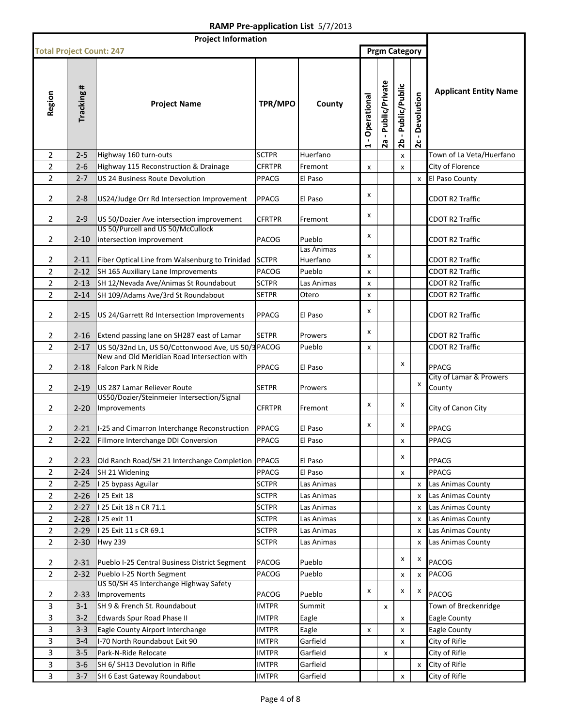| <b>Project Information</b>      |                      |                                                                                      |                       |                     |                               |                               |                       |                                              |                                                  |
|---------------------------------|----------------------|--------------------------------------------------------------------------------------|-----------------------|---------------------|-------------------------------|-------------------------------|-----------------------|----------------------------------------------|--------------------------------------------------|
| <b>Total Project Count: 247</b> |                      |                                                                                      |                       |                     |                               |                               | <b>Prgm Category</b>  |                                              |                                                  |
| Region                          | Tracking #           | <b>Project Name</b>                                                                  | TPR/MPO               | County              | Operational<br>$\blacksquare$ | - Public/Private<br><b>2a</b> | - Public/Public<br>2b | Devolution<br>$\blacksquare$<br>$\mathbf{z}$ | <b>Applicant Entity Name</b>                     |
| $\overline{2}$                  | $2 - 5$              | Highway 160 turn-outs                                                                | <b>SCTPR</b>          | Huerfano            |                               |                               | x                     |                                              | Town of La Veta/Huerfano                         |
| $\overline{2}$                  | $2 - 6$              | Highway 115 Reconstruction & Drainage                                                | <b>CFRTPR</b>         | Fremont             | X                             |                               | x                     |                                              | City of Florence                                 |
| $\overline{2}$                  | $2 - 7$              | <b>US 24 Business Route Devolution</b>                                               | PPACG                 | El Paso             |                               |                               |                       | x                                            | El Paso County                                   |
| 2                               | $2 - 8$              | US24/Judge Orr Rd Intersection Improvement                                           | PPACG                 | El Paso             | x                             |                               |                       |                                              | <b>CDOT R2 Traffic</b>                           |
| $\overline{2}$                  | $2 - 9$              | US 50/Dozier Ave intersection improvement<br>US 50/Purcell and US 50/McCullock       | <b>CFRTPR</b>         | Fremont             | x                             |                               |                       |                                              | <b>CDOT R2 Traffic</b>                           |
| 2                               | $2 - 10$             | intersection improvement                                                             | PACOG                 | Pueblo              | x                             |                               |                       |                                              | <b>CDOT R2 Traffic</b>                           |
|                                 |                      |                                                                                      |                       | Las Animas          | x                             |                               |                       |                                              |                                                  |
| 2<br>$\overline{2}$             | $2 - 11$<br>$2 - 12$ | Fiber Optical Line from Walsenburg to Trinidad<br>SH 165 Auxiliary Lane Improvements | <b>SCTPR</b><br>PACOG | Huerfano<br>Pueblo  |                               |                               |                       |                                              | <b>CDOT R2 Traffic</b><br><b>CDOT R2 Traffic</b> |
|                                 |                      |                                                                                      |                       |                     | x                             |                               |                       |                                              | <b>CDOT R2 Traffic</b>                           |
| 2                               | $2 - 13$             | SH 12/Nevada Ave/Animas St Roundabout                                                | <b>SCTPR</b>          | Las Animas<br>Otero | x                             |                               |                       |                                              | CDOT R2 Traffic                                  |
| $\overline{2}$                  | $2 - 14$             | SH 109/Adams Ave/3rd St Roundabout                                                   | <b>SETPR</b>          |                     | x                             |                               |                       |                                              |                                                  |
| $\overline{2}$                  | $2 - 15$             | US 24/Garrett Rd Intersection Improvements                                           | <b>PPACG</b>          | El Paso             | x                             |                               |                       |                                              | <b>CDOT R2 Traffic</b>                           |
| 2                               | $2 - 16$             | Extend passing lane on SH287 east of Lamar                                           | <b>SETPR</b>          | Prowers             | x                             |                               |                       |                                              | CDOT R2 Traffic                                  |
| $\overline{2}$                  | $2 - 17$             | US 50/32nd Ln, US 50/Cottonwood Ave, US 50/3 PACOG                                   |                       | Pueblo              | X                             |                               |                       |                                              | <b>CDOT R2 Traffic</b>                           |
| 2                               | $2 - 18$             | New and Old Meridian Road Intersection with<br>Falcon Park N Ride                    | PPACG                 | El Paso             |                               |                               | x                     |                                              | PPACG                                            |
| $\overline{2}$                  | $2 - 19$             | US 287 Lamar Reliever Route                                                          | <b>SETPR</b>          | Prowers             |                               |                               |                       | X                                            | City of Lamar & Prowers<br>County                |
| $\overline{2}$                  | $2 - 20$             | US50/Dozier/Steinmeier Intersection/Signal<br>Improvements                           | <b>CFRTPR</b>         | Fremont             | x                             |                               | x                     |                                              | City of Canon City                               |
| 2                               | 2-21                 | I-25 and Cimarron Interchange Reconstruction                                         | PPACG                 | El Paso             | x                             |                               | x                     |                                              | PPACG                                            |
| $\overline{2}$                  |                      | 2-22 Fillmore Interchange DDI Conversion                                             | <b>PPACG</b>          | El Paso             |                               |                               | X                     |                                              | PPACG                                            |
| $\overline{2}$                  | $2 - 23$             | Old Ranch Road/SH 21 Interchange Completion PPACG                                    |                       | El Paso             |                               |                               | x                     |                                              | PPACG                                            |
| $\overline{2}$                  | $2 - 24$             | SH 21 Widening                                                                       | PPACG                 | El Paso             |                               |                               | x                     |                                              | PPACG                                            |
| $\overline{2}$                  | $2 - 25$             | I 25 bypass Aguilar                                                                  | <b>SCTPR</b>          | Las Animas          |                               |                               |                       | X                                            | Las Animas County                                |
| $\overline{2}$                  | $2 - 26$             | 125 Exit 18                                                                          | <b>SCTPR</b>          | Las Animas          |                               |                               |                       | X                                            | Las Animas County                                |
| $\overline{2}$                  | $2 - 27$             | 125 Exit 18 n CR 71.1                                                                | <b>SCTPR</b>          | Las Animas          |                               |                               |                       | X                                            | Las Animas County                                |
| $\overline{2}$                  | $2 - 28$             | 125 exit 11                                                                          | <b>SCTPR</b>          | Las Animas          |                               |                               |                       | X                                            | Las Animas County                                |
| $\overline{2}$                  | $2 - 29$             | 125 Exit 11 s CR 69.1                                                                | <b>SCTPR</b>          | Las Animas          |                               |                               |                       | X                                            | Las Animas County                                |
| $\overline{2}$                  | $2 - 30$             | <b>Hwy 239</b>                                                                       | <b>SCTPR</b>          | Las Animas          |                               |                               |                       | X                                            | Las Animas County                                |
| $\overline{2}$                  | 2-31                 | Pueblo I-25 Central Business District Segment                                        | PACOG                 | Pueblo              |                               |                               | x                     | х                                            | PACOG                                            |
| $\overline{2}$                  | $2 - 32$             | Pueblo I-25 North Segment<br>US 50/SH 45 Interchange Highway Safety                  | PACOG                 | Pueblo              |                               |                               | x                     | x                                            | <b>PACOG</b>                                     |
| $\overline{2}$                  | $2 - 33$             | Improvements                                                                         | PACOG                 | Pueblo              | x                             |                               | x                     | X                                            | PACOG                                            |
| 3                               | $3-1$                | SH 9 & French St. Roundabout                                                         | <b>IMTPR</b>          | Summit              |                               | x                             |                       |                                              | Town of Breckenridge                             |
| 3                               | $3-2$                | Edwards Spur Road Phase II                                                           | <b>IMTPR</b>          | Eagle               |                               |                               | x                     |                                              | Eagle County                                     |
| 3                               | $3 - 3$              | Eagle County Airport Interchange                                                     | <b>IMTPR</b>          | Eagle               | x                             |                               | x                     |                                              | <b>Eagle County</b>                              |
| 3                               | $3 - 4$              | I-70 North Roundabout Exit 90                                                        | <b>IMTPR</b>          | Garfield            |                               |                               | x                     |                                              | City of Rifle                                    |
| 3                               | $3 - 5$              | Park-N-Ride Relocate                                                                 | <b>IMTPR</b>          | Garfield            |                               | x                             |                       |                                              | City of Rifle                                    |
| 3                               | $3 - 6$              | SH 6/ SH13 Devolution in Rifle                                                       | <b>IMTPR</b>          | Garfield            |                               |                               |                       | X                                            | City of Rifle                                    |
| 3                               | $3 - 7$              | SH 6 East Gateway Roundabout                                                         | <b>IMTPR</b>          | Garfield            |                               |                               | X                     |                                              | City of Rifle                                    |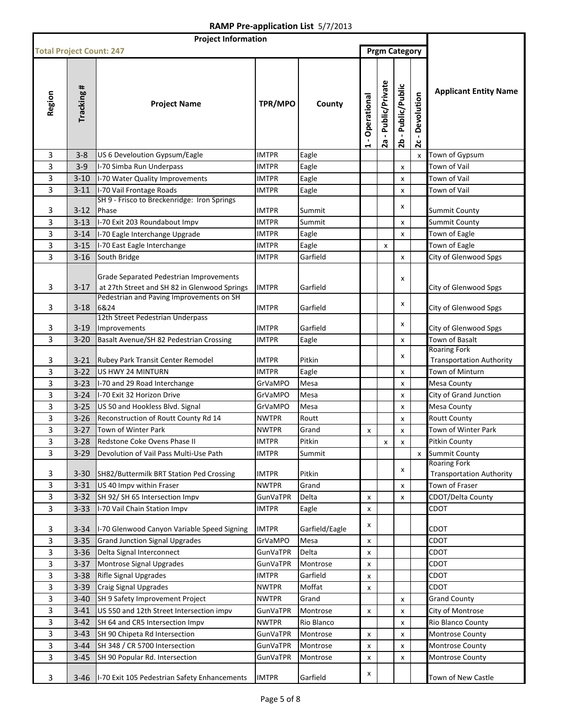| <b>Project Information</b>      |            |                                                                                                                                     |                 |                |                                       |                        |                       |                            |                                                        |
|---------------------------------|------------|-------------------------------------------------------------------------------------------------------------------------------------|-----------------|----------------|---------------------------------------|------------------------|-----------------------|----------------------------|--------------------------------------------------------|
| <b>Total Project Count: 247</b> |            |                                                                                                                                     |                 |                |                                       |                        | <b>Prgm Category</b>  |                            |                                                        |
| Region                          | Tracking # | <b>Project Name</b>                                                                                                                 | TPR/MPO         | County         | - Operational<br>$\blacktriangleleft$ | - Public/Private<br>2a | - Public/Public<br>2b | Devolution<br>$\mathbf{z}$ | <b>Applicant Entity Name</b>                           |
| 3                               | $3 - 8$    | US 6 Develoution Gypsum/Eagle                                                                                                       | IMTPR           | Eagle          |                                       |                        |                       | x                          | Town of Gypsum                                         |
| 3                               | $3-9$      | I-70 Simba Run Underpass                                                                                                            | <b>IMTPR</b>    | Eagle          |                                       |                        | X                     |                            | Town of Vail                                           |
| 3                               | $3 - 10$   | I-70 Water Quality Improvements                                                                                                     | <b>IMTPR</b>    | Eagle          |                                       |                        | X                     |                            | Town of Vail                                           |
| 3                               | $3 - 11$   | I-70 Vail Frontage Roads                                                                                                            | <b>IMTPR</b>    | Eagle          |                                       |                        | X                     |                            | Town of Vail                                           |
|                                 |            | SH 9 - Frisco to Breckenridge: Iron Springs                                                                                         |                 |                |                                       |                        |                       |                            |                                                        |
| 3                               | $3 - 12$   | Phase                                                                                                                               | <b>IMTPR</b>    | Summit         |                                       |                        | x                     |                            | Summit County                                          |
| 3                               | $3 - 13$   | I-70 Exit 203 Roundabout Impv                                                                                                       | <b>IMTPR</b>    | Summit         |                                       |                        | X                     |                            | <b>Summit County</b>                                   |
| 3                               | $3 - 14$   | I-70 Eagle Interchange Upgrade                                                                                                      | <b>IMTPR</b>    | Eagle          |                                       |                        | x                     |                            | Town of Eagle                                          |
| 3                               | $3 - 15$   | I-70 East Eagle Interchange                                                                                                         | <b>IMTPR</b>    | Eagle          |                                       | x                      |                       |                            | Town of Eagle                                          |
| 3                               | $3 - 16$   | South Bridge                                                                                                                        | IMTPR           | Garfield       |                                       |                        | $\pmb{\times}$        |                            | City of Glenwood Spgs                                  |
| 3                               | $3-17$     | Grade Separated Pedestrian Improvements<br>at 27th Street and SH 82 in Glenwood Springs<br>Pedestrian and Paving Improvements on SH | <b>IMTPR</b>    | Garfield       |                                       |                        | x                     |                            | City of Glenwood Spgs                                  |
| 3                               | $3 - 18$   | 6&24                                                                                                                                | IMTPR           | Garfield       |                                       |                        | X                     |                            | City of Glenwood Spgs                                  |
| 3                               | $3-19$     | 12th Street Pedestrian Underpass<br>Improvements                                                                                    | <b>IMTPR</b>    | Garfield       |                                       |                        | x                     |                            | City of Glenwood Spgs                                  |
| 3                               | $3 - 20$   | Basalt Avenue/SH 82 Pedestrian Crossing                                                                                             | <b>IMTPR</b>    | Eagle          |                                       |                        | X                     |                            | Town of Basalt                                         |
|                                 |            |                                                                                                                                     |                 |                |                                       |                        | x                     |                            | <b>Roaring Fork</b>                                    |
| 3                               | $3 - 21$   | Rubey Park Transit Center Remodel                                                                                                   | <b>IMTPR</b>    | Pitkin         |                                       |                        |                       |                            | <b>Transportation Authority</b>                        |
| 3                               | $3 - 22$   | US HWY 24 MINTURN                                                                                                                   | <b>IMTPR</b>    | Eagle          |                                       |                        | X                     |                            | Town of Minturn                                        |
| 3                               | $3 - 23$   | I-70 and 29 Road Interchange                                                                                                        | GrVaMPO         | Mesa           |                                       |                        | X                     |                            | Mesa County                                            |
| 3                               | $3 - 24$   | I-70 Exit 32 Horizon Drive                                                                                                          | GrVaMPO         | Mesa           |                                       |                        | X                     |                            | City of Grand Junction                                 |
| 3                               | $3 - 25$   | US 50 and Hookless Blvd. Signal                                                                                                     | GrVaMPO         | Mesa           |                                       |                        | X                     |                            | Mesa County                                            |
| 3                               | $3 - 26$   | Reconstruction of Routt County Rd 14                                                                                                | <b>NWTPR</b>    | Routt          |                                       |                        | X                     |                            | <b>Routt County</b>                                    |
| 3                               | $3 - 27$   | Town of Winter Park                                                                                                                 | <b>NWTPR</b>    | Grand          | X                                     |                        | X                     |                            | Town of Winter Park                                    |
| 3                               |            | 3-28 Redstone Coke Ovens Phase II                                                                                                   | <b>IMTPR</b>    | Pitkin         |                                       | x                      | X                     |                            | Pitkin County                                          |
| 3                               | $3 - 29$   | Devolution of Vail Pass Multi-Use Path                                                                                              | <b>IMTPR</b>    | Summit         |                                       |                        |                       | x                          | <b>Summit County</b>                                   |
| 3                               | $3 - 30$   | SH82/Buttermilk BRT Station Ped Crossing                                                                                            | <b>IMTPR</b>    | Pitkin         |                                       |                        | x                     |                            | <b>Roaring Fork</b><br><b>Transportation Authority</b> |
| 3                               | $3 - 31$   | US 40 Impv within Fraser                                                                                                            | <b>NWTPR</b>    | Grand          |                                       |                        | X                     |                            | Town of Fraser                                         |
| 3                               | $3 - 32$   | SH 92/SH 65 Intersection Impv                                                                                                       | <b>GunVaTPR</b> | Delta          | x                                     |                        | X                     |                            | CDOT/Delta County                                      |
| 3                               | $3 - 33$   | I-70 Vail Chain Station Impv                                                                                                        | <b>IMTPR</b>    | Eagle          | x                                     |                        |                       |                            | CDOT                                                   |
| 3                               | $3 - 34$   | I-70 Glenwood Canyon Variable Speed Signing                                                                                         | <b>IMTPR</b>    | Garfield/Eagle | x                                     |                        |                       |                            | CDOT                                                   |
| 3                               | $3 - 35$   | <b>Grand Junction Signal Upgrades</b>                                                                                               | GrVaMPO         | Mesa           | x                                     |                        |                       |                            | CDOT                                                   |
| 3                               | $3 - 36$   | Delta Signal Interconnect                                                                                                           | <b>GunVaTPR</b> | Delta          | x                                     |                        |                       |                            | CDOT                                                   |
| 3                               | $3 - 37$   | Montrose Signal Upgrades                                                                                                            | <b>GunVaTPR</b> | Montrose       | x                                     |                        |                       |                            | CDOT                                                   |
| 3                               | $3 - 38$   | Rifle Signal Upgrades                                                                                                               | <b>IMTPR</b>    | Garfield       | x                                     |                        |                       |                            | CDOT                                                   |
| 3                               | $3 - 39$   | Craig Signal Upgrades                                                                                                               | <b>NWTPR</b>    | Moffat         | X                                     |                        |                       |                            | <b>CDOT</b>                                            |
| 3                               | $3 - 40$   | SH 9 Safety Improvement Project                                                                                                     | <b>NWTPR</b>    | Grand          |                                       |                        | x                     |                            | <b>Grand County</b>                                    |
| 3                               | $3 - 41$   | US 550 and 12th Street Intersection impv                                                                                            | GunVaTPR        | Montrose       | x                                     |                        | x                     |                            | City of Montrose                                       |
| 3                               | $3-42$     | SH 64 and CR5 Intersection Impv                                                                                                     | <b>NWTPR</b>    | Rio Blanco     |                                       |                        | X                     |                            | Rio Blanco County                                      |
| 3                               | $3 - 43$   | SH 90 Chipeta Rd Intersection                                                                                                       | <b>GunVaTPR</b> | Montrose       | x                                     |                        | X                     |                            | Montrose County                                        |
| 3                               | $3 - 44$   | SH 348 / CR 5700 Intersection                                                                                                       | <b>GunVaTPR</b> | Montrose       | x                                     |                        | X                     |                            | Montrose County                                        |
| 3                               | $3 - 45$   | SH 90 Popular Rd. Intersection                                                                                                      | <b>GunVaTPR</b> | Montrose       | x                                     |                        | X                     |                            | <b>Montrose County</b>                                 |
| 3                               | $3 - 46$   | I-70 Exit 105 Pedestrian Safety Enhancements                                                                                        | <b>IMTPR</b>    | Garfield       | x                                     |                        |                       |                            | Town of New Castle                                     |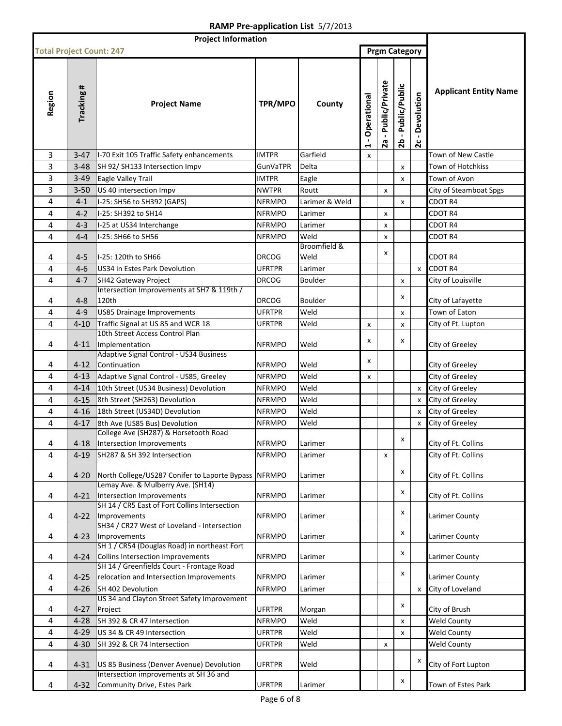| <b>Project Information</b>      |            |                                                                                   |                                |                |                  |                        |                                     |                            |                              |
|---------------------------------|------------|-----------------------------------------------------------------------------------|--------------------------------|----------------|------------------|------------------------|-------------------------------------|----------------------------|------------------------------|
| <b>Total Project Count: 247</b> |            |                                                                                   |                                |                |                  |                        | <b>Prgm Category</b>                |                            |                              |
| Region                          | Tracking # | <b>Project Name</b>                                                               | TPR/MPO                        | County         | Operational<br>1 | - Public/Private<br>2a | Public/Public<br>$\mathbf{L}$<br>2b | Devolution<br>$\mathbf{c}$ | <b>Applicant Entity Name</b> |
| 3                               | $3 - 47$   | I-70 Exit 105 Traffic Safety enhancements                                         | <b>IMTPR</b>                   | Garfield       | x                |                        |                                     |                            | Town of New Castle           |
| 3                               | $3 - 48$   | SH 92/ SH133 Intersection Impv                                                    | <b>GunVaTPR</b>                | Delta          |                  |                        | x                                   |                            | Town of Hotchkiss            |
| 3                               | $3 - 49$   | Eagle Valley Trail                                                                | <b>IMTPR</b>                   | Eagle          |                  |                        | x                                   |                            | Town of Avon                 |
| 3                               | $3 - 50$   | US 40 intersection Impv                                                           | <b>NWTPR</b>                   | Routt          |                  | x                      |                                     |                            | City of Steamboat Spgs       |
| 4                               | $4 - 1$    | I-25: SH56 to SH392 (GAPS)                                                        | <b>NFRMPO</b>                  | Larimer & Weld |                  |                        | x                                   |                            | CDOT R4                      |
| 4                               | $4 - 2$    | I-25: SH392 to SH14                                                               | <b>NFRMPO</b>                  | Larimer        |                  | x                      |                                     |                            | CDOT <sub>R4</sub>           |
| 4                               | $4 - 3$    | I-25 at US34 Interchange                                                          | <b>NFRMPO</b>                  | Larimer        |                  | x                      |                                     |                            | CDOT R4                      |
| 4                               | $4 - 4$    | I-25: SH66 to SH56                                                                | <b>NFRMPO</b>                  | Weld           |                  | x                      |                                     |                            | <b>CDOT R4</b>               |
|                                 |            |                                                                                   |                                | Broomfield &   |                  |                        |                                     |                            |                              |
| 4                               | $4 - 5$    | I-25: 120th to SH66                                                               | <b>DRCOG</b>                   | Weld           |                  | x                      |                                     |                            | <b>CDOT R4</b>               |
| 4                               | $4 - 6$    | US34 in Estes Park Devolution                                                     | <b>UFRTPR</b>                  | Larimer        |                  |                        |                                     | X                          | <b>CDOT R4</b>               |
| 4                               | $4 - 7$    | SH42 Gateway Project                                                              | <b>DRCOG</b>                   | <b>Boulder</b> |                  |                        | x                                   |                            | City of Louisville           |
| 4                               | $4 - 8$    | Intersection Improvements at SH7 & 119th /<br>120th                               | <b>DRCOG</b>                   | <b>Boulder</b> |                  |                        | x                                   |                            | City of Lafayette            |
| 4                               | $4 - 9$    | <b>US85 Drainage Improvements</b>                                                 | <b>UFRTPR</b>                  | Weld           |                  |                        | x                                   |                            | Town of Eaton                |
| 4                               | $4 - 10$   | Traffic Signal at US 85 and WCR 18                                                | UFRTPR                         | Weld           | x                |                        | x                                   |                            | City of Ft. Lupton           |
| 4                               | $4 - 11$   | 10th Street Access Control Plan<br>Implementation                                 | <b>NFRMPO</b>                  | Weld           | x                |                        | x                                   |                            | City of Greeley              |
|                                 | $4 - 12$   | <b>Adaptive Signal Control - US34 Business</b><br>Continuation                    |                                |                | x                |                        |                                     |                            |                              |
| 4                               |            |                                                                                   | <b>NFRMPO</b><br><b>NFRMPO</b> | Weld<br>Weld   |                  |                        |                                     |                            | City of Greeley              |
| 4                               | $4 - 13$   | Adaptive Signal Control - US85, Greeley                                           | <b>NFRMPO</b>                  | Weld           | x                |                        |                                     |                            | City of Greeley              |
| 4                               | $4 - 14$   | 10th Street (US34 Business) Devolution                                            |                                |                |                  |                        |                                     | X                          | City of Greeley              |
| 4                               | $4 - 15$   | 8th Street (SH263) Devolution                                                     | <b>NFRMPO</b>                  | Weld<br>Weld   |                  |                        |                                     | X                          | City of Greeley              |
| 4<br>4                          | $4 - 16$   | 18th Street (US34D) Devolution                                                    | <b>NFRMPO</b>                  | Weld           |                  |                        |                                     | X                          | City of Greeley              |
|                                 | $4 - 17$   | 8th Ave (US85 Bus) Devolution<br>College Ave (SH287) & Horsetooth Road            | <b>NFRMPO</b>                  |                |                  |                        |                                     | X                          | City of Greeley              |
| 4                               |            | 4-18 Intersection Improvements                                                    | <b>NFRMPO</b>                  | Larimer        |                  |                        | X                                   |                            | City of Ft. Collins          |
| 4                               | $4 - 19$   | SH287 & SH 392 Intersection                                                       | <b>NFRMPO</b>                  | Larimer        |                  | x                      |                                     |                            | City of Ft. Collins          |
|                                 |            |                                                                                   |                                |                |                  |                        |                                     |                            |                              |
| 4                               | $4 - 20$   | North College/US287 Conifer to Laporte Bypass NFRMPO                              |                                | Larimer        |                  |                        | x                                   |                            | City of Ft. Collins          |
|                                 |            | Lemay Ave. & Mulberry Ave. (SH14)                                                 |                                |                |                  |                        | x                                   |                            |                              |
| 4                               | $4 - 21$   | Intersection Improvements<br>SH 14 / CR5 East of Fort Collins Intersection        | <b>NFRMPO</b>                  | Larimer        |                  |                        |                                     |                            | City of Ft. Collins          |
| 4                               | $4 - 22$   | Improvements                                                                      | <b>NFRMPO</b>                  | Larimer        |                  |                        | X                                   |                            | Larimer County               |
| 4                               | $4 - 23$   | SH34 / CR27 West of Loveland - Intersection<br>Improvements                       | <b>NFRMPO</b>                  | Larimer        |                  |                        | x                                   |                            | Larimer County               |
| 4                               | $4 - 24$   | SH 1 / CR54 (Douglas Road) in northeast Fort<br>Collins Intersection Improvements | <b>NFRMPO</b>                  |                |                  |                        | x                                   |                            | Larimer County               |
|                                 |            | SH 14 / Greenfields Court - Frontage Road                                         |                                | Larimer        |                  |                        |                                     |                            |                              |
| 4                               | $4 - 25$   | relocation and Intersection Improvements                                          | <b>NFRMPO</b>                  | Larimer        |                  |                        | X                                   |                            | Larimer County               |
| 4                               | $4 - 26$   | SH 402 Devolution                                                                 | <b>NFRMPO</b>                  | Larimer        |                  |                        |                                     | X                          | City of Loveland             |
| 4                               | $4 - 27$   | US 34 and Clayton Street Safety Improvement<br>Project                            | <b>UFRTPR</b>                  | Morgan         |                  |                        | x                                   |                            | City of Brush                |
| 4                               | $4 - 28$   | SH 392 & CR 47 Intersection                                                       | <b>NFRMPO</b>                  | Weld           |                  |                        | x                                   |                            | <b>Weld County</b>           |
| 4                               | 4-29       | US 34 & CR 49 Intersection                                                        | <b>UFRTPR</b>                  | Weld           |                  |                        | x                                   |                            | <b>Weld County</b>           |
| 4                               | $4 - 30$   | SH 392 & CR 74 Intersection                                                       | <b>UFRTPR</b>                  | Weld           |                  | x                      |                                     |                            | <b>Weld County</b>           |
| 4                               | 4-31       | US 85 Business (Denver Avenue) Devolution                                         | <b>UFRTPR</b>                  | Weld           |                  |                        |                                     | x                          | City of Fort Lupton          |
| 4                               | $4 - 32$   | Intersection improvements at SH 36 and<br>Community Drive, Estes Park             | <b>UFRTPR</b>                  | Larimer        |                  |                        | x                                   |                            | Town of Estes Park           |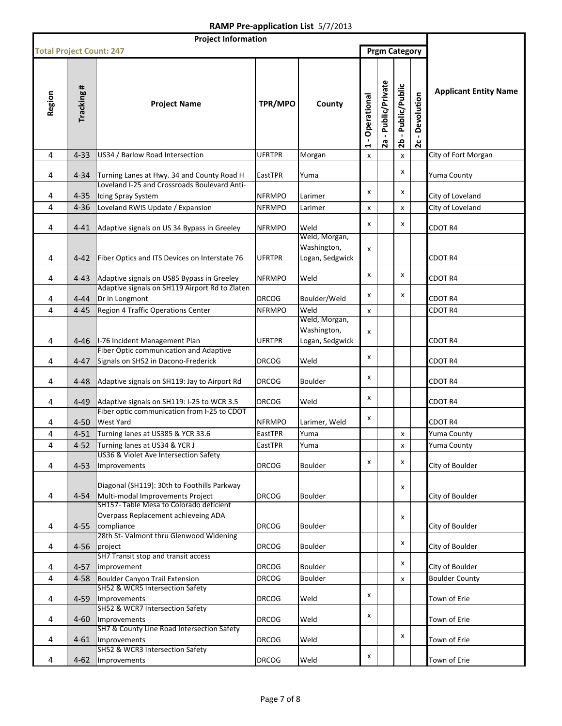| <b>Project Information</b>      |            |                                                                                                                            |               |                                                 |                                       |                        |                       |                                              |                              |
|---------------------------------|------------|----------------------------------------------------------------------------------------------------------------------------|---------------|-------------------------------------------------|---------------------------------------|------------------------|-----------------------|----------------------------------------------|------------------------------|
| <b>Total Project Count: 247</b> |            |                                                                                                                            |               |                                                 |                                       |                        | <b>Prgm Category</b>  |                                              |                              |
| Region                          | Tracking # | <b>Project Name</b>                                                                                                        | TPR/MPO       | County                                          | - Operational<br>$\blacktriangleleft$ | - Public/Private<br>2a | - Public/Public<br>26 | Devolution<br>$\blacksquare$<br>$\mathbf{z}$ | <b>Applicant Entity Name</b> |
| 4                               | $4 - 33$   | US34 / Barlow Road Intersection                                                                                            | <b>UFRTPR</b> | Morgan                                          | X                                     |                        | x                     |                                              | City of Fort Morgan          |
| 4                               | $4 - 34$   | Turning Lanes at Hwy. 34 and County Road H<br>Loveland I-25 and Crossroads Boulevard Anti-                                 | EastTPR       | Yuma                                            |                                       |                        | X                     |                                              | Yuma County                  |
| 4                               | $4 - 35$   | Icing Spray System                                                                                                         | <b>NFRMPO</b> | Larimer                                         | x                                     |                        | x                     |                                              | City of Loveland             |
| 4                               | $4 - 36$   | Loveland RWIS Update / Expansion                                                                                           | <b>NFRMPO</b> | Larimer                                         | x                                     |                        | X                     |                                              | City of Loveland             |
|                                 |            |                                                                                                                            |               |                                                 |                                       |                        |                       |                                              |                              |
| 4                               | $4 - 41$   | Adaptive signals on US 34 Bypass in Greeley                                                                                | <b>NFRMPO</b> | Weld                                            | X                                     |                        | X                     |                                              | CDOT R4                      |
| 4                               | $4 - 42$   | Fiber Optics and ITS Devices on Interstate 76                                                                              | <b>UFRTPR</b> | Weld, Morgan,<br>Washington,<br>Logan, Sedgwick | x                                     |                        |                       |                                              | CDOT R4                      |
| 4                               | $4 - 43$   | Adaptive signals on US85 Bypass in Greeley                                                                                 | <b>NFRMPO</b> | Weld                                            | x                                     |                        | X                     |                                              | CDOT R4                      |
| 4                               | $4 - 44$   | Adaptive signals on SH119 Airport Rd to Zlaten<br>Dr in Longmont                                                           | <b>DRCOG</b>  | Boulder/Weld                                    | x                                     |                        | X                     |                                              | CDOT R4                      |
| 4                               | $4 - 45$   | Region 4 Traffic Operations Center                                                                                         | <b>NFRMPO</b> | Weld                                            | x                                     |                        |                       |                                              | CDOT R4                      |
| 4                               | 4-46       | I-76 Incident Management Plan                                                                                              | <b>UFRTPR</b> | Weld, Morgan,<br>Washington,<br>Logan, Sedgwick | x                                     |                        |                       |                                              | CDOT R4                      |
| 4                               | $4 - 47$   | Fiber Optic communication and Adaptive<br>Signals on SH52 in Dacono-Frederick                                              | <b>DRCOG</b>  | Weld                                            | x                                     |                        |                       |                                              | CDOT R4                      |
| 4                               | $4 - 48$   | Adaptive signals on SH119: Jay to Airport Rd                                                                               | <b>DRCOG</b>  | <b>Boulder</b>                                  | x                                     |                        |                       |                                              | CDOT R4                      |
| 4                               | $4 - 49$   | Adaptive signals on SH119: I-25 to WCR 3.5                                                                                 | <b>DRCOG</b>  | Weld                                            | x                                     |                        |                       |                                              | CDOT R4                      |
| 4                               | $4 - 50$   | Fiber optic communication from I-25 to CDOT<br><b>West Yard</b>                                                            | <b>NFRMPO</b> | Larimer, Weld                                   | x                                     |                        |                       |                                              | CDOT R4                      |
| 4                               | $4 - 51$   | Turning lanes at US385 & YCR 33.6                                                                                          | EastTPR       | Yuma                                            |                                       |                        | x                     |                                              | Yuma County                  |
| 4                               | $4 - 52$   | Turning lanes at US34 & YCR J                                                                                              | EastTPR       | Yuma                                            |                                       |                        | x                     |                                              | Yuma County                  |
| 4                               | $4 - 53$   | US36 & Violet Ave Intersection Safety<br>Improvements                                                                      | <b>DRCOG</b>  | <b>Boulder</b>                                  | x                                     |                        | x                     |                                              | City of Boulder              |
| 4                               | $4 - 54$   | Diagonal (SH119): 30th to Foothills Parkway<br>Multi-modal Improvements Project<br>SH157- Table Mesa to Colorado deficient | <b>DRCOG</b>  | Boulder                                         |                                       |                        | x                     |                                              | City of Boulder              |
| 4                               | $4 - 55$   | Overpass Replacement achieveing ADA<br>compliance                                                                          | <b>DRCOG</b>  | <b>Boulder</b>                                  |                                       |                        | x                     |                                              | City of Boulder              |
| 4                               | $4 - 56$   | 28th St- Valmont thru Glenwood Widening<br>project                                                                         | <b>DRCOG</b>  | <b>Boulder</b>                                  |                                       |                        | X                     |                                              | City of Boulder              |
| 4                               | $4 - 57$   | SH7 Transit stop and transit access<br>improvement                                                                         | <b>DRCOG</b>  | Boulder                                         |                                       |                        | X                     |                                              | City of Boulder              |
| 4                               | $4 - 58$   | Boulder Canyon Trail Extension                                                                                             | <b>DRCOG</b>  | Boulder                                         |                                       |                        | $\pmb{\mathsf{x}}$    |                                              | <b>Boulder County</b>        |
| 4                               | 4-59       | SH52 & WCR5 Intersection Safety<br>Improvements                                                                            | <b>DRCOG</b>  | Weld                                            | x                                     |                        |                       |                                              | Town of Erie                 |
|                                 |            | SH52 & WCR7 Intersection Safety                                                                                            |               |                                                 | x                                     |                        |                       |                                              |                              |
| 4                               | 4-60       | Improvements<br>SH7 & County Line Road Intersection Safety                                                                 | <b>DRCOG</b>  | Weld                                            |                                       |                        |                       |                                              | Town of Erie                 |
| 4                               | 4-61       | Improvements<br>SH52 & WCR3 Intersection Safety                                                                            | <b>DRCOG</b>  | Weld                                            |                                       |                        | X                     |                                              | Town of Erie                 |
| 4                               | 4-62       | Improvements                                                                                                               | <b>DRCOG</b>  | Weld                                            | x                                     |                        |                       |                                              | Town of Erie                 |